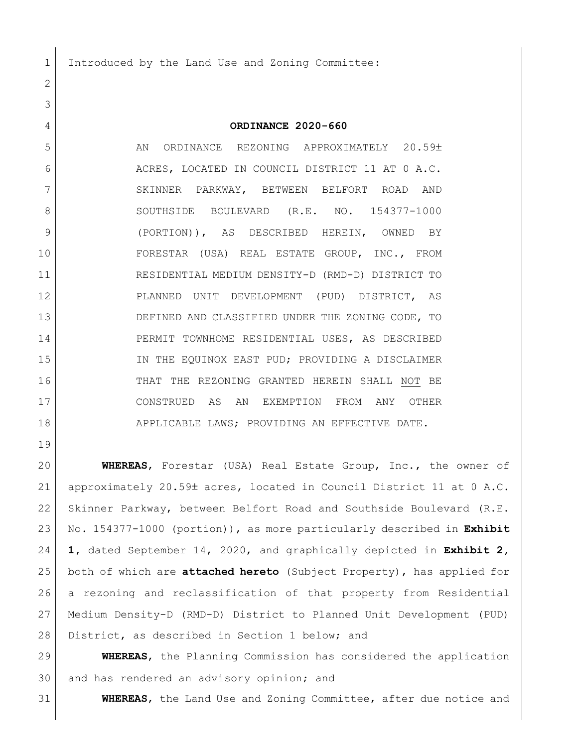Introduced by the Land Use and Zoning Committee:

## **ORDINANCE 2020-660**

5 AN ORDINANCE REZONING APPROXIMATELY 20.59± ACRES, LOCATED IN COUNCIL DISTRICT 11 AT 0 A.C. 7 SKINNER PARKWAY, BETWEEN BELFORT ROAD AND 8 SOUTHSIDE BOULEVARD (R.E. NO. 154377-1000 (PORTION)), AS DESCRIBED HEREIN, OWNED BY FORESTAR (USA) REAL ESTATE GROUP, INC., FROM RESIDENTIAL MEDIUM DENSITY-D (RMD-D) DISTRICT TO PLANNED UNIT DEVELOPMENT (PUD) DISTRICT, AS DEFINED AND CLASSIFIED UNDER THE ZONING CODE, TO PERMIT TOWNHOME RESIDENTIAL USES, AS DESCRIBED 15 IN THE EQUINOX EAST PUD; PROVIDING A DISCLAIMER THAT THE REZONING GRANTED HEREIN SHALL NOT BE CONSTRUED AS AN EXEMPTION FROM ANY OTHER 18 APPLICABLE LAWS; PROVIDING AN EFFECTIVE DATE.

 **WHEREAS**, Forestar (USA) Real Estate Group, Inc., the owner of 21 approximately 20.59± acres, located in Council District 11 at 0 A.C. Skinner Parkway, between Belfort Road and Southside Boulevard (R.E. No. 154377-1000 (portion)), as more particularly described in **Exhibit 1,** dated September 14, 2020, and graphically depicted in **Exhibit 2,**  both of which are **attached hereto** (Subject Property), has applied for a rezoning and reclassification of that property from Residential Medium Density-D (RMD-D) District to Planned Unit Development (PUD) 28 District, as described in Section 1 below; and

 **WHEREAS**, the Planning Commission has considered the application 30 and has rendered an advisory opinion; and

**WHEREAS**, the Land Use and Zoning Committee, after due notice and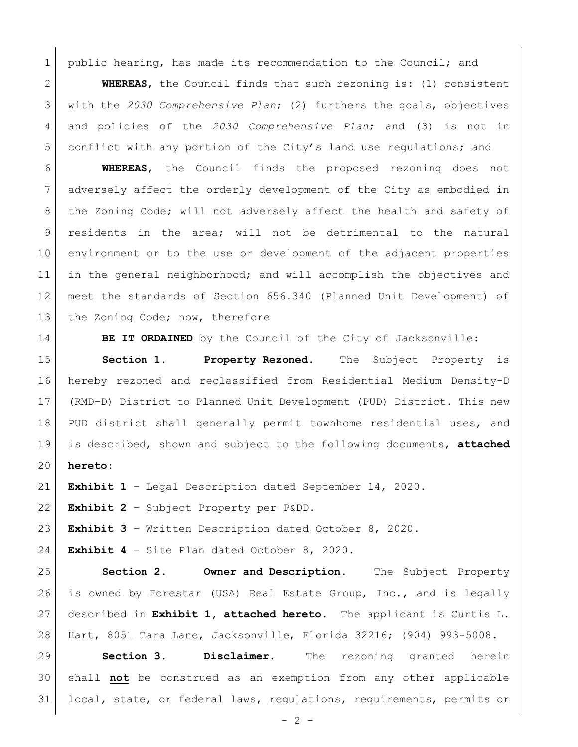1 public hearing, has made its recommendation to the Council; and

 **WHEREAS**, the Council finds that such rezoning is: (1) consistent with the *2030 Comprehensive Plan*; (2) furthers the goals, objectives and policies of the *2030 Comprehensive Plan*; and (3) is not in conflict with any portion of the City's land use regulations; and

 **WHEREAS**, the Council finds the proposed rezoning does not adversely affect the orderly development of the City as embodied in 8 | the Zoning Code; will not adversely affect the health and safety of residents in the area; will not be detrimental to the natural environment or to the use or development of the adjacent properties 11 in the general neighborhood; and will accomplish the objectives and meet the standards of Section 656.340 (Planned Unit Development) of 13 the Zoning Code; now, therefore

**BE IT ORDAINED** by the Council of the City of Jacksonville:

 **Section 1. Property Rezoned.** The Subject Property is hereby rezoned and reclassified from Residential Medium Density-D (RMD-D) District to Planned Unit Development (PUD) District. This new 18 PUD district shall generally permit townhome residential uses, and is described, shown and subject to the following documents, **attached hereto**:

**Exhibit 1** – Legal Description dated September 14, 2020.

**Exhibit 2** – Subject Property per P&DD.

**Exhibit 3** – Written Description dated October 8, 2020.

**Exhibit 4** – Site Plan dated October 8, 2020.

 **Section 2. Owner and Description.** The Subject Property is owned by Forestar (USA) Real Estate Group, Inc., and is legally described in **Exhibit 1, attached hereto**. The applicant is Curtis L. Hart, 8051 Tara Lane, Jacksonville, Florida 32216; (904) 993-5008.

 **Section 3. Disclaimer.** The rezoning granted herein shall **not** be construed as an exemption from any other applicable local, state, or federal laws, regulations, requirements, permits or

 $- 2 -$